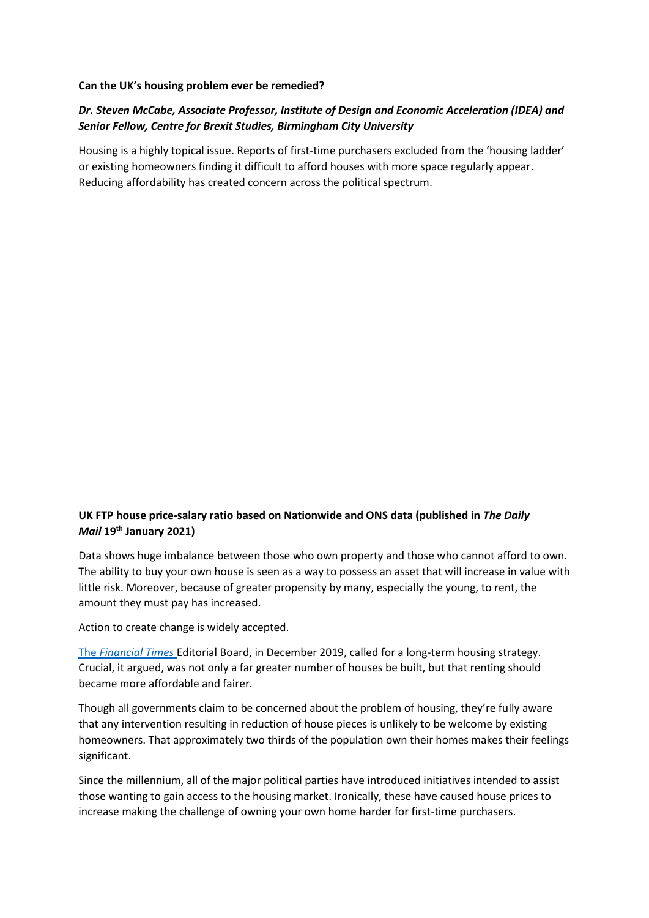## **Can the UK's housing problem ever be remedied?**

## *Dr. Steven McCabe, Associate Professor, Institute of Design and Economic Acceleration (IDEA) and Senior Fellow, Centre for Brexit Studies, Birmingham City University*

Housing is a highly topical issue. Reports of first-time purchasers excluded from the 'housing ladder' or existing homeowners finding it difficult to afford houses with more space regularly appear. Reducing affordability has created concern across the political spectrum.

## **UK FTP house price-salary ratio based on Nationwide and ONS data (published in** *The Daily Mail* **19th January 2021)**

Data shows huge imbalance between those who own property and those who cannot afford to own. The ability to buy your own house is seen as a way to possess an asset that will increase in value with little risk. Moreover, because of greater propensity by many, especially the young, to rent, the amount they must pay has increased.

Action to create change is widely accepted.

The *[Financial Times](https://www.ft.com/content/8c7fead4-112d-11ea-a7e6-62bf4f9e548a)* Editorial Board, in December 2019, called for a long-term housing strategy. Crucial, it argued, was not only a far greater number of houses be built, but that renting should became more affordable and fairer.

Though all governments claim to be concerned about the problem of housing, they're fully aware that any intervention resulting in reduction of house pieces is unlikely to be welcome by existing homeowners. That approximately two thirds of the population own their homes makes their feelings significant.

Since the millennium, all of the major political parties have introduced initiatives intended to assist those wanting to gain access to the housing market. Ironically, these have caused house prices to increase making the challenge of owning your own home harder for first-time purchasers.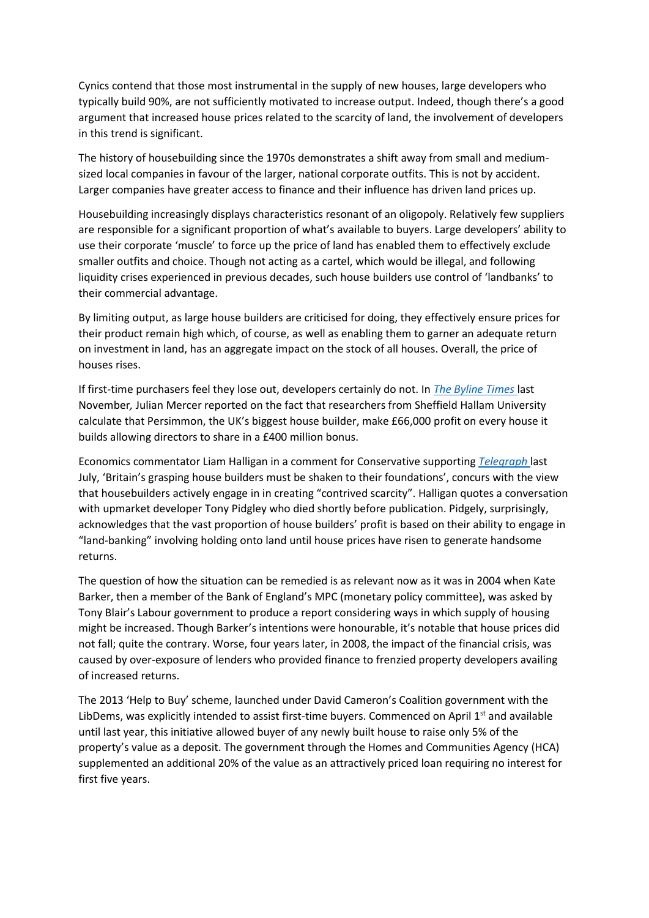Cynics contend that those most instrumental in the supply of new houses, large developers who typically build 90%, are not sufficiently motivated to increase output. Indeed, though there's a good argument that increased house prices related to the scarcity of land, the involvement of developers in this trend is significant.

The history of housebuilding since the 1970s demonstrates a shift away from small and mediumsized local companies in favour of the larger, national corporate outfits. This is not by accident. Larger companies have greater access to finance and their influence has driven land prices up.

Housebuilding increasingly displays characteristics resonant of an oligopoly. Relatively few suppliers are responsible for a significant proportion of what's available to buyers. Large developers' ability to use their corporate 'muscle' to force up the price of land has enabled them to effectively exclude smaller outfits and choice. Though not acting as a cartel, which would be illegal, and following liquidity crises experienced in previous decades, such house builders use control of 'landbanks' to their commercial advantage.

By limiting output, as large house builders are criticised for doing, they effectively ensure prices for their product remain high which, of course, as well as enabling them to garner an adequate return on investment in land, has an aggregate impact on the stock of all houses. Overall, the price of houses rises.

If first-time purchasers feel they lose out, developers certainly do not. In *[The Byline Times](https://bylinetimes.com/2020/11/25/the-government-cannot-build-its-way-out-of-englands-housing-crisis/)* last November*,* Julian Mercer reported on the fact that researchers from Sheffield Hallam University calculate that Persimmon, the UK's biggest house builder, make £66,000 profit on every house it builds allowing directors to share in a £400 million bonus.

Economics commentator Liam Halligan in a comment for Conservative supporting *[Telegraph](https://www.telegraph.co.uk/business/2020/07/04/britains-grasping-housebuilders-must-shaken-foundations/)* last July, 'Britain's grasping house builders must be shaken to their foundations', concurs with the view that housebuilders actively engage in in creating "contrived scarcity". Halligan quotes a conversation with upmarket developer Tony Pidgley who died shortly before publication. Pidgely, surprisingly, acknowledges that the vast proportion of house builders' profit is based on their ability to engage in "land-banking" involving holding onto land until house prices have risen to generate handsome returns.

The question of how the situation can be remedied is as relevant now as it was in 2004 when Kate Barker, then a member of the Bank of England's MPC (monetary policy committee), was asked by Tony Blair's Labour government to produce a report considering ways in which supply of housing might be increased. Though Barker's intentions were honourable, it's notable that house prices did not fall; quite the contrary. Worse, four years later, in 2008, the impact of the financial crisis, was caused by over-exposure of lenders who provided finance to frenzied property developers availing of increased returns.

The 2013 'Help to Buy' scheme, launched under David Cameron's Coalition government with the LibDems, was explicitly intended to assist first-time buyers. Commenced on April  $1<sup>st</sup>$  and available until last year, this initiative allowed buyer of any newly built house to raise only 5% of the property's value as a deposit. The government through the Homes and Communities Agency (HCA) supplemented an additional 20% of the value as an attractively priced loan requiring no interest for first five years.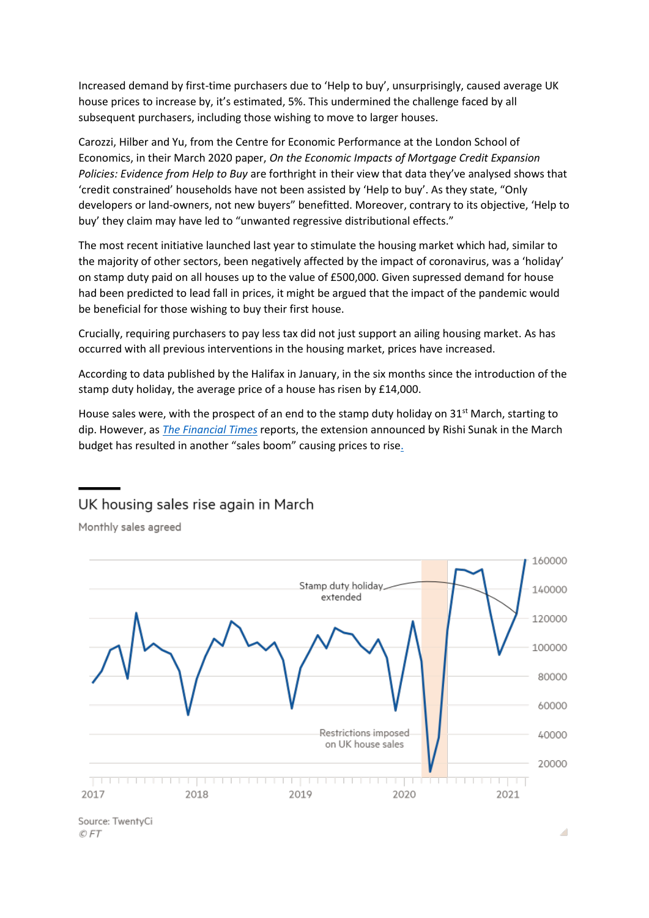Increased demand by first-time purchasers due to 'Help to buy', unsurprisingly, caused average UK house prices to increase by, it's estimated, 5%. This undermined the challenge faced by all subsequent purchasers, including those wishing to move to larger houses.

Carozzi, Hilber and Yu, from the Centre for Economic Performance at the London School of Economics, in their March 2020 paper, *On the Economic Impacts of Mortgage Credit Expansion Policies: Evidence from Help to Buy* are forthright in their view that data they've analysed shows that 'credit constrained' households have not been assisted by 'Help to buy'. As they state, "Only developers or land-owners, not new buyers" benefitted. Moreover, contrary to its objective, 'Help to buy' they claim may have led to "unwanted regressive distributional effects."

The most recent initiative launched last year to stimulate the housing market which had, similar to the majority of other sectors, been negatively affected by the impact of coronavirus, was a 'holiday' on stamp duty paid on all houses up to the value of £500,000. Given supressed demand for house had been predicted to lead fall in prices, it might be argued that the impact of the pandemic would be beneficial for those wishing to buy their first house.

Crucially, requiring purchasers to pay less tax did not just support an ailing housing market. As has occurred with all previous interventions in the housing market, prices have increased.

According to data published by the Halifax in January, in the six months since the introduction of the stamp duty holiday, the average price of a house has risen by £14,000.

House sales were, with the prospect of an end to the stamp duty holiday on  $31<sup>st</sup>$  March, starting to dip. However, as *[The Financial Times](https://www.ft.com/content/43737eeb-ac52-4687-93dd-0f601f187db9:)* reports, the extension announced by Rishi Sunak in the March budget has resulted in another "sales boom" causing prices to rise[.](https://www.ft.com/content/43737eeb-ac52-4687-93dd-0f601f187db9)

## UK housing sales rise again in March

Monthly sales agreed



Source: TwentyCi © FT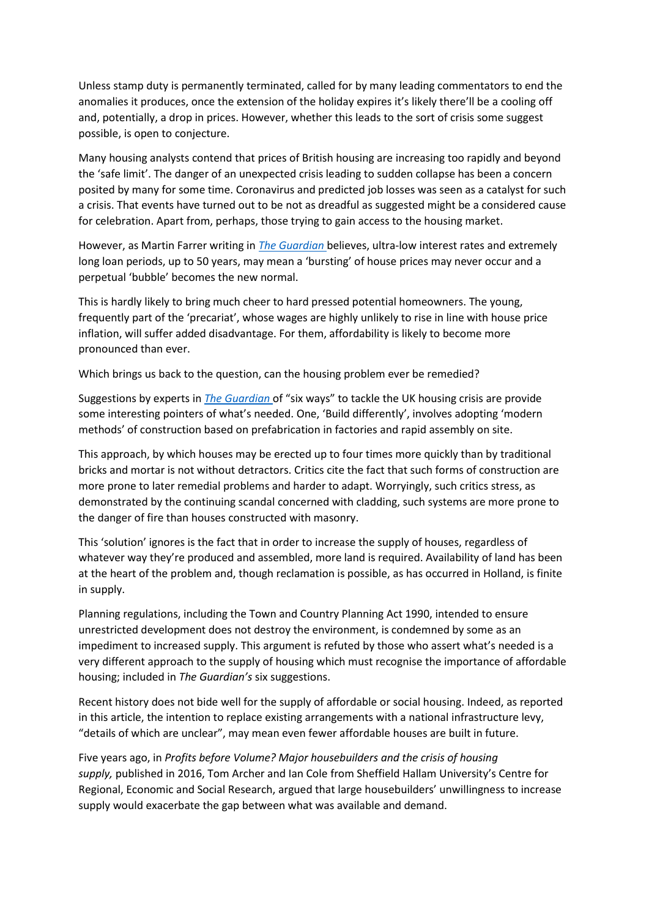Unless stamp duty is permanently terminated, called for by many leading commentators to end the anomalies it produces, once the extension of the holiday expires it's likely there'll be a cooling off and, potentially, a drop in prices. However, whether this leads to the sort of crisis some suggest possible, is open to conjecture.

Many housing analysts contend that prices of British housing are increasing too rapidly and beyond the 'safe limit'. The danger of an unexpected crisis leading to sudden collapse has been a concern posited by many for some time. Coronavirus and predicted job losses was seen as a catalyst for such a crisis. That events have turned out to be not as dreadful as suggested might be a considered cause for celebration. Apart from, perhaps, those trying to gain access to the housing market.

However, as Martin Farrer writing in *[The Guardian](https://www.theguardian.com/money/2021/apr/05/bubble-or-boom-why-ultra-low-interest-rates-mean-house-prices-may-never-bust.)* believes, ultra-low interest rates and extremely long loan periods, up to 50 years, may mean a 'bursting' of house prices may never occur and a perpetual 'bubble' becomes the new normal.

This is hardly likely to bring much cheer to hard pressed potential homeowners. The young, frequently part of the 'precariat', whose wages are highly unlikely to rise in line with house price inflation, will suffer added disadvantage. For them, affordability is likely to become more pronounced than ever.

Which brings us back to the question, can the housing problem ever be remedied?

Suggestions by experts in *[The Guardian](https://www.theguardian.com/business/2021/apr/01/how-do-we-fix-the-uk-housing-crisis-experts?CMP=Share_AndroidApp_Other.)* of "six ways" to tackle the UK housing crisis are provide some interesting pointers of what's needed. One, 'Build differently', involves adopting 'modern methods' of construction based on prefabrication in factories and rapid assembly on site.

This approach, by which houses may be erected up to four times more quickly than by traditional bricks and mortar is not without detractors. Critics cite the fact that such forms of construction are more prone to later remedial problems and harder to adapt. Worryingly, such critics stress, as demonstrated by the continuing scandal concerned with cladding, such systems are more prone to the danger of fire than houses constructed with masonry.

This 'solution' ignores is the fact that in order to increase the supply of houses, regardless of whatever way they're produced and assembled, more land is required. Availability of land has been at the heart of the problem and, though reclamation is possible, as has occurred in Holland, is finite in supply.

Planning regulations, including the Town and Country Planning Act 1990, intended to ensure unrestricted development does not destroy the environment, is condemned by some as an impediment to increased supply. This argument is refuted by those who assert what's needed is a very different approach to the supply of housing which must recognise the importance of affordable housing; included in *The Guardian's* six suggestions.

Recent history does not bide well for the supply of affordable or social housing. Indeed, as reported in this article, the intention to replace existing arrangements with a national infrastructure levy, "details of which are unclear", may mean even fewer affordable houses are built in future.

Five years ago, in *Profits before Volume? Major housebuilders and the crisis of housing supply,* published in 2016, Tom Archer and Ian Cole from Sheffield Hallam University's Centre for Regional, Economic and Social Research, argued that large housebuilders' unwillingness to increase supply would exacerbate the gap between what was available and demand.